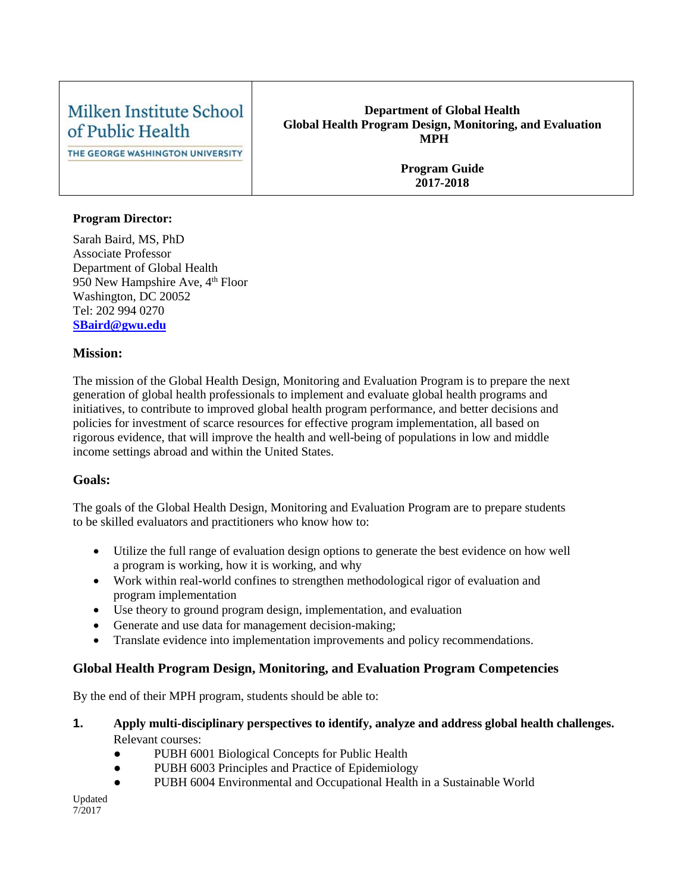# Milken Institute School of Public Health

THE GEORGE WASHINGTON UNIVERSITY

#### **Department of Global Health Global Health Program Design, Monitoring, and Evaluation MPH**

**Program Guide 2017-2018**

#### **Program Director:**

Sarah Baird, MS, PhD Associate Professor Department of Global Health 950 New Hampshire Ave, 4<sup>th</sup> Floor Washington, DC 20052 Tel: 202 994 0270 **[SBaird@gwu.edu](mailto:smookher@gwu.edu)**

#### **Mission:**

The mission of the Global Health Design, Monitoring and Evaluation Program is to prepare the next generation of global health professionals to implement and evaluate global health programs and initiatives, to contribute to improved global health program performance, and better decisions and policies for investment of scarce resources for effective program implementation, all based on rigorous evidence, that will improve the health and well-being of populations in low and middle income settings abroad and within the United States.

#### **Goals:**

The goals of the Global Health Design, Monitoring and Evaluation Program are to prepare students to be skilled evaluators and practitioners who know how to:

- Utilize the full range of evaluation design options to generate the best evidence on how well a program is working, how it is working, and why
- Work within real-world confines to strengthen methodological rigor of evaluation and program implementation
- Use theory to ground program design, implementation, and evaluation
- Generate and use data for management decision-making;
- Translate evidence into implementation improvements and policy recommendations.

## **Global Health Program Design, Monitoring, and Evaluation Program Competencies**

By the end of their MPH program, students should be able to:

- **1. Apply multi-disciplinary perspectives to identify, analyze and address global health challenges.** Relevant courses:
	- PUBH 6001 Biological Concepts for Public Health
	- PUBH 6003 Principles and Practice of Epidemiology
	- PUBH 6004 Environmental and Occupational Health in a Sustainable World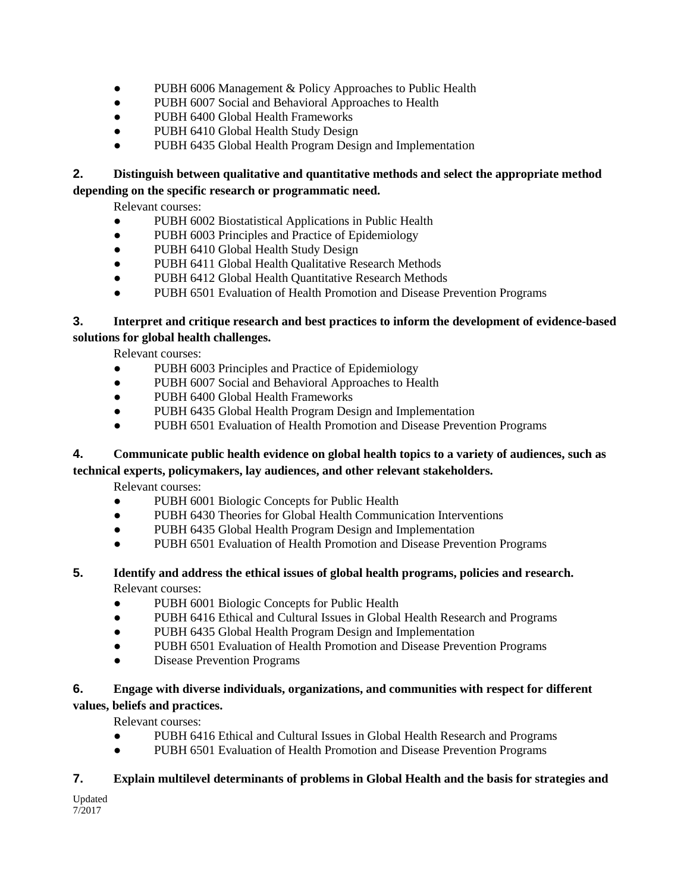- PUBH 6006 Management & Policy Approaches to Public Health
- PUBH 6007 Social and Behavioral Approaches to Health
- PUBH 6400 Global Health Frameworks
- PUBH 6410 Global Health Study Design
- PUBH 6435 Global Health Program Design and Implementation

# **2. Distinguish between qualitative and quantitative methods and select the appropriate method**

#### **depending on the specific research or programmatic need.**

Relevant courses:

- PUBH 6002 Biostatistical Applications in Public Health
- PUBH 6003 Principles and Practice of Epidemiology
- PUBH 6410 Global Health Study Design
- PUBH 6411 Global Health Qualitative Research Methods
- PUBH 6412 Global Health Quantitative Research Methods
- PUBH 6501 Evaluation of Health Promotion and Disease Prevention Programs

### **3. Interpret and critique research and best practices to inform the development of evidence-based solutions for global health challenges.**

Relevant courses:

- PUBH 6003 Principles and Practice of Epidemiology
- PUBH 6007 Social and Behavioral Approaches to Health
- PUBH 6400 Global Health Frameworks
- PUBH 6435 Global Health Program Design and Implementation
- PUBH 6501 Evaluation of Health Promotion and Disease Prevention Programs

### **4. Communicate public health evidence on global health topics to a variety of audiences, such as technical experts, policymakers, lay audiences, and other relevant stakeholders.**

Relevant courses:

- PUBH 6001 Biologic Concepts for Public Health
- PUBH 6430 Theories for Global Health Communication Interventions
- PUBH 6435 Global Health Program Design and Implementation
- PUBH 6501 Evaluation of Health Promotion and Disease Prevention Programs

# **5. Identify and address the ethical issues of global health programs, policies and research.**

Relevant courses:

- PUBH 6001 Biologic Concepts for Public Health
- PUBH 6416 Ethical and Cultural Issues in Global Health Research and Programs
- PUBH 6435 Global Health Program Design and Implementation
- PUBH 6501 Evaluation of Health Promotion and Disease Prevention Programs
- Disease Prevention Programs

### **6. Engage with diverse individuals, organizations, and communities with respect for different values, beliefs and practices.**

Relevant courses:

- PUBH 6416 Ethical and Cultural Issues in Global Health Research and Programs
- PUBH 6501 Evaluation of Health Promotion and Disease Prevention Programs

#### **7. Explain multilevel determinants of problems in Global Health and the basis for strategies and**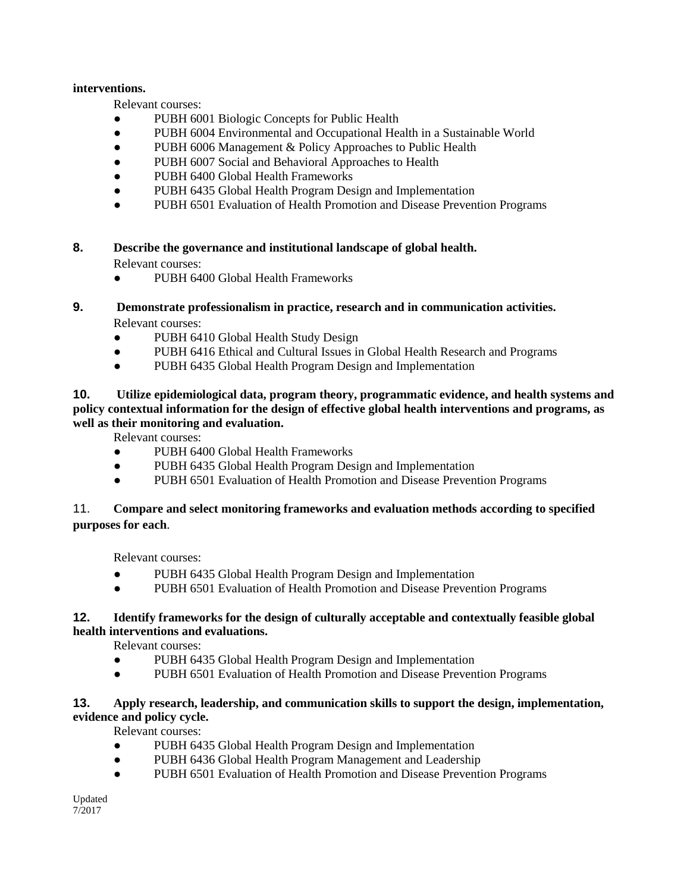#### **interventions.**

Relevant courses:

- PUBH 6001 Biologic Concepts for Public Health
- PUBH 6004 Environmental and Occupational Health in a Sustainable World
- PUBH 6006 Management & Policy Approaches to Public Health
- PUBH 6007 Social and Behavioral Approaches to Health
- PUBH 6400 Global Health Frameworks
- PUBH 6435 Global Health Program Design and Implementation
- PUBH 6501 Evaluation of Health Promotion and Disease Prevention Programs
- **8. Describe the governance and institutional landscape of global health.** Relevant courses:
	- PUBH 6400 Global Health Frameworks

# **9. Demonstrate professionalism in practice, research and in communication activities.**

Relevant courses:

- PUBH 6410 Global Health Study Design
- PUBH 6416 Ethical and Cultural Issues in Global Health Research and Programs
- PUBH 6435 Global Health Program Design and Implementation

#### **10. Utilize epidemiological data, program theory, programmatic evidence, and health systems and policy contextual information for the design of effective global health interventions and programs, as well as their monitoring and evaluation.**

Relevant courses:

- PUBH 6400 Global Health Frameworks
- PUBH 6435 Global Health Program Design and Implementation
- PUBH 6501 Evaluation of Health Promotion and Disease Prevention Programs

#### 11. **Compare and select monitoring frameworks and evaluation methods according to specified purposes for each**.

Relevant courses:

- PUBH 6435 Global Health Program Design and Implementation
- PUBH 6501 Evaluation of Health Promotion and Disease Prevention Programs

#### **12. Identify frameworks for the design of culturally acceptable and contextually feasible global health interventions and evaluations.**

Relevant courses:

- PUBH 6435 Global Health Program Design and Implementation
- PUBH 6501 Evaluation of Health Promotion and Disease Prevention Programs

#### **13. Apply research, leadership, and communication skills to support the design, implementation, evidence and policy cycle.**

Relevant courses:

- PUBH 6435 Global Health Program Design and Implementation
- PUBH 6436 Global Health Program Management and Leadership
- PUBH 6501 Evaluation of Health Promotion and Disease Prevention Programs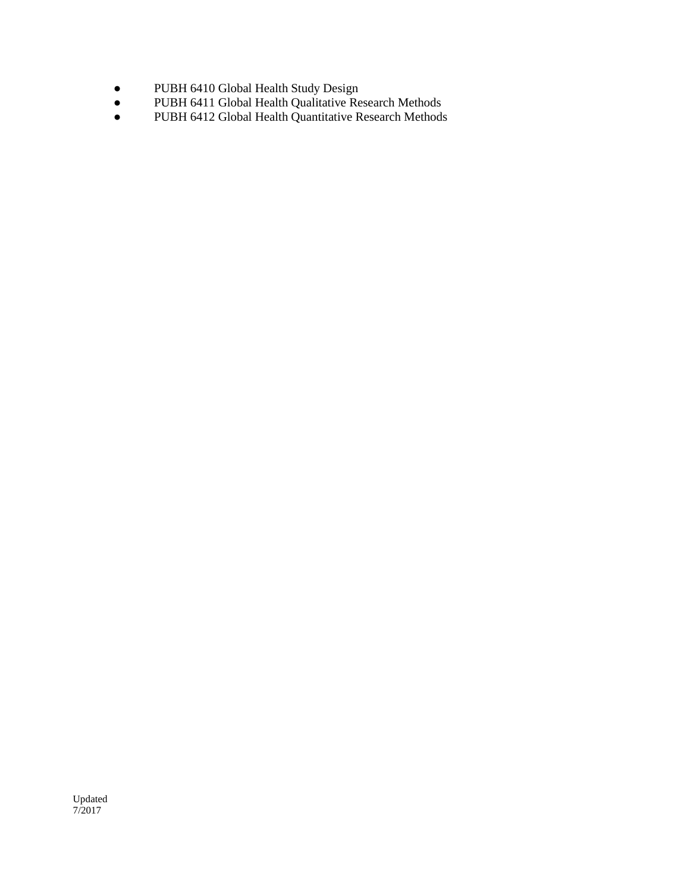- PUBH 6410 Global Health Study Design
- PUBH 6411 Global Health Qualitative Research Methods
- PUBH 6412 Global Health Quantitative Research Methods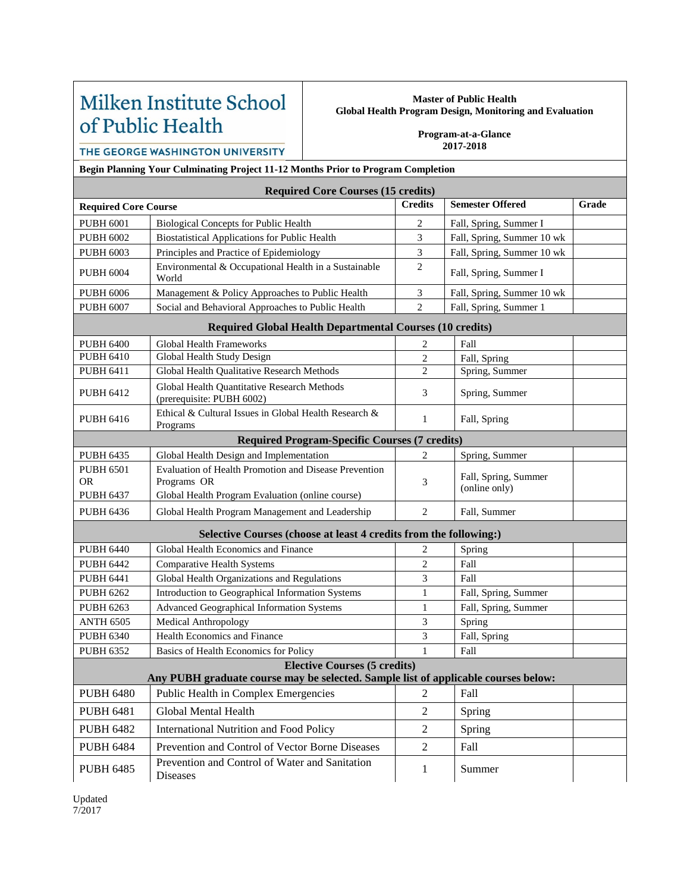# Milken Institute School of Public Health

#### **Master of Public Health Global Health Program Design, Monitoring and Evaluation**

**Program-at-a-Glance 2017-2018**

THE GEORGE WASHINGTON UNIVERSITY

**Begin Planning Your Culminating Project 11-12 Months Prior to Program Completion**

|                                                                 | <b>Required Core Courses (15 credits)</b>                                                                                 |                |                                       |       |  |  |  |  |
|-----------------------------------------------------------------|---------------------------------------------------------------------------------------------------------------------------|----------------|---------------------------------------|-------|--|--|--|--|
| <b>Required Core Course</b>                                     |                                                                                                                           | <b>Credits</b> | <b>Semester Offered</b>               | Grade |  |  |  |  |
| <b>PUBH 6001</b>                                                | <b>Biological Concepts for Public Health</b>                                                                              | 2              | Fall, Spring, Summer I                |       |  |  |  |  |
| <b>PUBH 6002</b>                                                | <b>Biostatistical Applications for Public Health</b>                                                                      | 3              | Fall, Spring, Summer 10 wk            |       |  |  |  |  |
| <b>PUBH 6003</b>                                                | Principles and Practice of Epidemiology                                                                                   | 3              | Fall, Spring, Summer 10 wk            |       |  |  |  |  |
| <b>PUBH 6004</b>                                                | Environmental & Occupational Health in a Sustainable<br>World                                                             | 2              | Fall, Spring, Summer I                |       |  |  |  |  |
| <b>PUBH 6006</b>                                                | Management & Policy Approaches to Public Health                                                                           | $\mathfrak{Z}$ | Fall, Spring, Summer 10 wk            |       |  |  |  |  |
| <b>PUBH 6007</b>                                                | Social and Behavioral Approaches to Public Health                                                                         | $\overline{2}$ | Fall, Spring, Summer 1                |       |  |  |  |  |
| <b>Required Global Health Departmental Courses (10 credits)</b> |                                                                                                                           |                |                                       |       |  |  |  |  |
| <b>PUBH 6400</b>                                                | Global Health Frameworks                                                                                                  | 2              | Fall                                  |       |  |  |  |  |
| <b>PUBH 6410</b>                                                | Global Health Study Design                                                                                                | $\overline{c}$ | Fall, Spring                          |       |  |  |  |  |
| <b>PUBH 6411</b>                                                | Global Health Qualitative Research Methods                                                                                | $\overline{2}$ | Spring, Summer                        |       |  |  |  |  |
| <b>PUBH 6412</b>                                                | Global Health Quantitative Research Methods<br>(prerequisite: PUBH 6002)                                                  | 3              | Spring, Summer                        |       |  |  |  |  |
| <b>PUBH 6416</b>                                                | Ethical & Cultural Issues in Global Health Research &<br>Programs                                                         | $\mathbf{1}$   | Fall, Spring                          |       |  |  |  |  |
| <b>Required Program-Specific Courses (7 credits)</b>            |                                                                                                                           |                |                                       |       |  |  |  |  |
| <b>PUBH 6435</b>                                                | Global Health Design and Implementation                                                                                   | $\overline{c}$ | Spring, Summer                        |       |  |  |  |  |
| <b>PUBH 6501</b><br><b>OR</b>                                   | Evaluation of Health Promotion and Disease Prevention<br>Programs OR                                                      | 3              | Fall, Spring, Summer<br>(online only) |       |  |  |  |  |
| <b>PUBH 6437</b>                                                | Global Health Program Evaluation (online course)                                                                          |                |                                       |       |  |  |  |  |
| <b>PUBH 6436</b>                                                | Global Health Program Management and Leadership                                                                           | $\overline{c}$ | Fall, Summer                          |       |  |  |  |  |
|                                                                 | Selective Courses (choose at least 4 credits from the following:)                                                         |                |                                       |       |  |  |  |  |
| <b>PUBH 6440</b>                                                | Global Health Economics and Finance                                                                                       | 2              | Spring                                |       |  |  |  |  |
| <b>PUBH 6442</b>                                                | <b>Comparative Health Systems</b>                                                                                         | $\overline{2}$ | Fall                                  |       |  |  |  |  |
| <b>PUBH 6441</b>                                                | Global Health Organizations and Regulations                                                                               | 3              | Fall                                  |       |  |  |  |  |
| <b>PUBH 6262</b>                                                | Introduction to Geographical Information Systems                                                                          | $\mathbf{1}$   | Fall, Spring, Summer                  |       |  |  |  |  |
| <b>PUBH 6263</b>                                                | <b>Advanced Geographical Information Systems</b>                                                                          | $\mathbf{1}$   | Fall, Spring, Summer                  |       |  |  |  |  |
| <b>ANTH 6505</b>                                                | Medical Anthropology                                                                                                      | 3              | Spring                                |       |  |  |  |  |
| <b>PUBH 6340</b>                                                | Health Economics and Finance                                                                                              | 3              | Fall, Spring                          |       |  |  |  |  |
| <b>PUBH 6352</b>                                                | Basics of Health Economics for Policy                                                                                     | $\mathbf{1}$   | Fall                                  |       |  |  |  |  |
|                                                                 | <b>Elective Courses (5 credits)</b><br>Any PUBH graduate course may be selected. Sample list of applicable courses below: |                |                                       |       |  |  |  |  |
| <b>PUBH 6480</b>                                                | Public Health in Complex Emergencies                                                                                      | $\overline{2}$ | Fall                                  |       |  |  |  |  |
| <b>PUBH 6481</b>                                                | Global Mental Health                                                                                                      | $\overline{2}$ | Spring                                |       |  |  |  |  |
| <b>PUBH 6482</b>                                                | <b>International Nutrition and Food Policy</b>                                                                            | $\sqrt{2}$     | Spring                                |       |  |  |  |  |
| <b>PUBH 6484</b>                                                | Prevention and Control of Vector Borne Diseases                                                                           | $\overline{2}$ | Fall                                  |       |  |  |  |  |
| <b>PUBH 6485</b>                                                | Prevention and Control of Water and Sanitation<br>Diseases                                                                | $\mathbf{1}$   | Summer                                |       |  |  |  |  |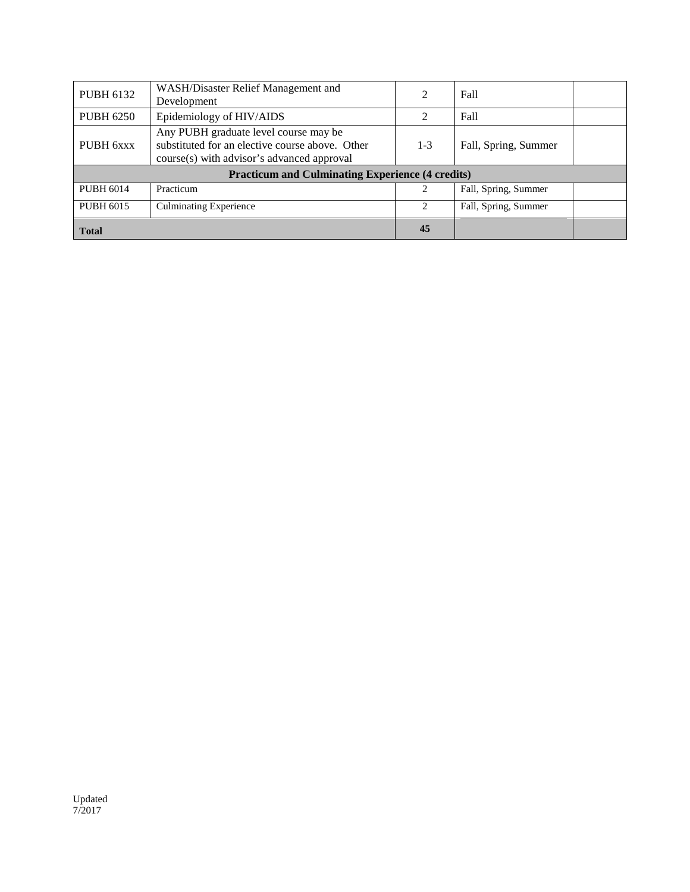| <b>PUBH 6132</b>                                        | WASH/Disaster Relief Management and<br>Development                                                                                     | $\mathfrak{D}$                | Fall                 |  |  |
|---------------------------------------------------------|----------------------------------------------------------------------------------------------------------------------------------------|-------------------------------|----------------------|--|--|
| <b>PUBH 6250</b>                                        | Epidemiology of HIV/AIDS                                                                                                               | 2                             | Fall                 |  |  |
| PUBH 6xxx                                               | Any PUBH graduate level course may be<br>substituted for an elective course above. Other<br>course(s) with advisor's advanced approval | $1 - 3$                       | Fall, Spring, Summer |  |  |
| <b>Practicum and Culminating Experience (4 credits)</b> |                                                                                                                                        |                               |                      |  |  |
| <b>PUBH 6014</b>                                        | Practicum                                                                                                                              |                               | Fall, Spring, Summer |  |  |
| <b>PUBH 6015</b>                                        | <b>Culminating Experience</b>                                                                                                          | $\mathfrak{D}_{\mathfrak{p}}$ | Fall, Spring, Summer |  |  |
| <b>Total</b>                                            |                                                                                                                                        | 45                            |                      |  |  |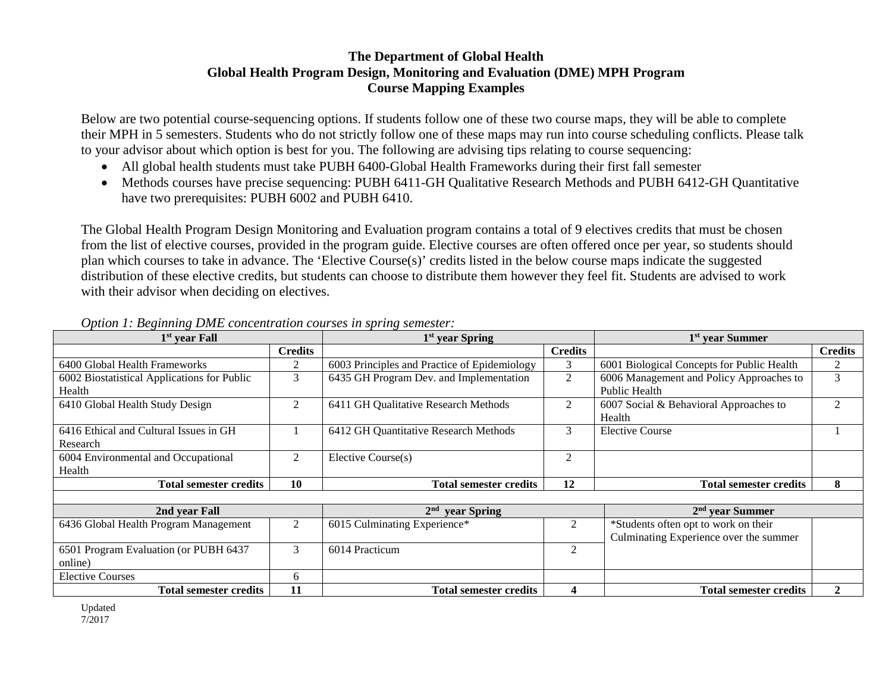## **The Department of Global Health Global Health Program Design, Monitoring and Evaluation (DME) MPH Program Course Mapping Examples**

Below are two potential course-sequencing options. If students follow one of these two course maps, they will be able to complete their MPH in 5 semesters. Students who do not strictly follow one of these maps may run into course scheduling conflicts. Please talk to your advisor about which option is best for you. The following are advising tips relating to course sequencing:

- All global health students must take PUBH 6400-Global Health Frameworks during their first fall semester
- Methods courses have precise sequencing: PUBH 6411-GH Qualitative Research Methods and PUBH 6412-GH Quantitative have two prerequisites: PUBH 6002 and PUBH 6410.

The Global Health Program Design Monitoring and Evaluation program contains a total of 9 electives credits that must be chosen from the list of elective courses, provided in the program guide. Elective courses are often offered once per year, so students should plan which courses to take in advance. The 'Elective Course(s)' credits listed in the below course maps indicate the suggested distribution of these elective credits, but students can choose to distribute them however they feel fit. Students are advised to work with their advisor when deciding on electives.

| $1st$ year Fall                                       |                | $1st$ year Spring                            |                | 1 <sup>st</sup> year Summer                                                    |                |
|-------------------------------------------------------|----------------|----------------------------------------------|----------------|--------------------------------------------------------------------------------|----------------|
|                                                       | <b>Credits</b> |                                              | <b>Credits</b> |                                                                                | <b>Credits</b> |
| 6400 Global Health Frameworks                         | 2              | 6003 Principles and Practice of Epidemiology | 3              | 6001 Biological Concepts for Public Health                                     | 2              |
| 6002 Biostatistical Applications for Public<br>Health | 3              | 6435 GH Program Dev. and Implementation      | 2              | 6006 Management and Policy Approaches to<br>Public Health                      | 3              |
| 6410 Global Health Study Design                       | 2              | 6411 GH Qualitative Research Methods         | 2              | 6007 Social & Behavioral Approaches to<br>Health                               | 2              |
| 6416 Ethical and Cultural Issues in GH<br>Research    |                | 6412 GH Quantitative Research Methods        | 3              | <b>Elective Course</b>                                                         |                |
| 6004 Environmental and Occupational<br>Health         | $\mathfrak{2}$ | Elective Course(s)                           | $\overline{2}$ |                                                                                |                |
| Total semester credits                                | <b>10</b>      | <b>Total semester credits</b>                | 12             | <b>Total semester credits</b>                                                  | 8              |
|                                                       |                |                                              |                |                                                                                |                |
| 2nd year Fall                                         |                | 2 <sup>nd</sup><br>year Spring               |                | $2nd$ vear Summer                                                              |                |
| 6436 Global Health Program Management                 | 2              | 6015 Culminating Experience*                 | 2              | *Students often opt to work on their<br>Culminating Experience over the summer |                |
| 6501 Program Evaluation (or PUBH 6437<br>online)      | 3              | 6014 Practicum                               | 2              |                                                                                |                |
| <b>Elective Courses</b>                               | 6              |                                              |                |                                                                                |                |
| <b>Total semester credits</b>                         | 11             | <b>Total semester credits</b>                | 4              | <b>Total semester credits</b>                                                  | $\overline{2}$ |

#### *Option 1: Beginning DME concentration courses in spring semester:*